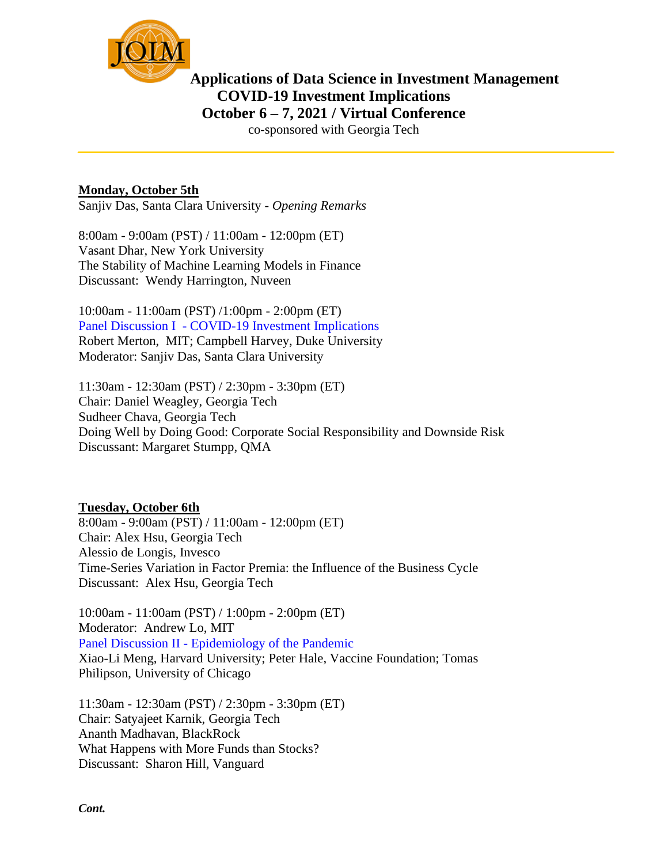

## **Applications of Data Science in Investment Management COVID-19 Investment Implications October 6 – 7, 2021 / Virtual Conference**

co-sponsored with Georgia Tech

## **Monday, October 5th**

Sanjiv Das, Santa Clara University - *Opening Remarks*

8:00am - 9:00am (PST) / 11:00am - 12:00pm (ET) Vasant Dhar, New York University The Stability of Machine Learning Models in Finance Discussant: Wendy Harrington, Nuveen

10:00am - 11:00am (PST) /1:00pm - 2:00pm (ET) Panel Discussion I - COVID-19 Investment Implications Robert Merton, MIT; Campbell Harvey, Duke University Moderator: Sanjiv Das, Santa Clara University

11:30am - 12:30am (PST) / 2:30pm - 3:30pm (ET) Chair: Daniel Weagley, Georgia Tech Sudheer Chava, Georgia Tech Doing Well by Doing Good: Corporate Social Responsibility and Downside Risk Discussant: Margaret Stumpp, QMA

## **Tuesday, October 6th**

8:00am - 9:00am (PST) / 11:00am - 12:00pm (ET) Chair: Alex Hsu, Georgia Tech Alessio de Longis, Invesco Time-Series Variation in Factor Premia: the Influence of the Business Cycle Discussant: Alex Hsu, Georgia Tech

10:00am - 11:00am (PST) / 1:00pm - 2:00pm (ET) Moderator: Andrew Lo, MIT Panel Discussion II - Epidemiology of the Pandemic Xiao-Li Meng, Harvard University; Peter Hale, Vaccine Foundation; Tomas Philipson, University of Chicago

11:30am - 12:30am (PST) / 2:30pm - 3:30pm (ET) Chair: Satyajeet Karnik, Georgia Tech Ananth Madhavan, BlackRock What Happens with More Funds than Stocks? Discussant: Sharon Hill, Vanguard